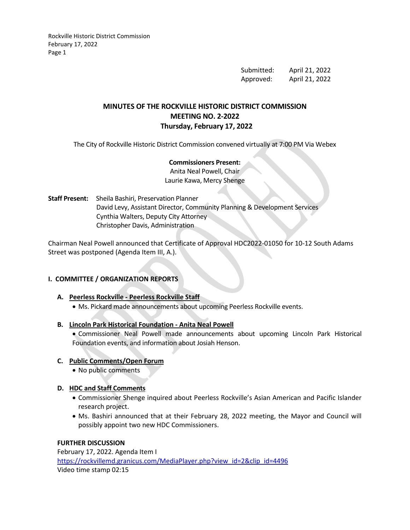> Submitted: April 21, 2022 Approved: April 21, 2022

# **MINUTES OF THE ROCKVILLE HISTORIC DISTRICT COMMISSION MEETING NO. 2-2022 Thursday, February 17, 2022**

The City of Rockville Historic District Commission convened virtually at 7:00 PM Via Webex

### **Commissioners Present:**

Anita Neal Powell, Chair Laurie Kawa, Mercy Shenge

**Staff Present:** Sheila Bashiri, Preservation Planner David Levy, Assistant Director, Community Planning & Development Services Cynthia Walters, Deputy City Attorney Christopher Davis, Administration

Chairman Neal Powell announced that Certificate of Approval HDC2022-01050 for 10-12 South Adams Street was postponed (Agenda Item III, A.).

### **I. COMMITTEE / ORGANIZATION REPORTS**

### **A. Peerless Rockville - Peerless Rockville Staff**

• Ms. Pickard made announcements about upcoming Peerless Rockville events.

### **B. Lincoln Park Historical Foundation - Anita Neal Powell**

• Commissioner Neal Powell made announcements about upcoming Lincoln Park Historical Foundation events, and information about Josiah Henson.

### **C. Public Comments/Open Forum**

• No public comments

### **D. HDC and Staff Comments**

- Commissioner Shenge inquired about Peerless Rockville's Asian American and Pacific Islander research project.
- Ms. Bashiri announced that at their February 28, 2022 meeting, the Mayor and Council will possibly appoint two new HDC Commissioners.

## **FURTHER DISCUSSION**

February 17, 2022. Agenda Item I [https://rockvillemd.granicus.com/MediaPlayer.php?view\\_id=2&clip\\_id=4496](https://rockvillemd.granicus.com/MediaPlayer.php?view_id=2&clip_id=4496) Video time stamp 02:15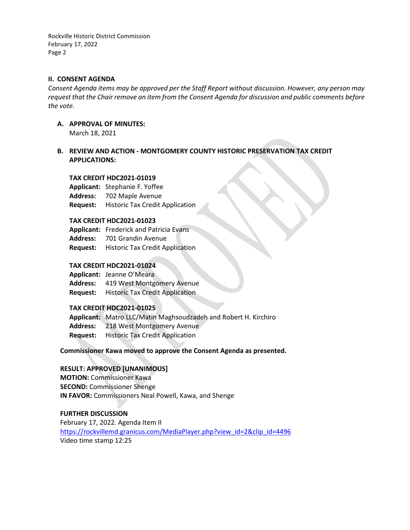#### **II. CONSENT AGENDA**

*Consent Agenda items may be approved per the Staff Report without discussion. However, any person may request that the Chair remove an item from the Consent Agenda for discussion and public comments before the vote.*

- **A. APPROVAL OF MINUTES:** March 18, 2021
- **B. REVIEW AND ACTION - MONTGOMERY COUNTY HISTORIC PRESERVATION TAX CREDIT APPLICATIONS:**

#### **TAX CREDIT HDC2021-01019**

**Applicant:** Stephanie F. Yoffee **Address:** 702 Maple Avenue **Request:** Historic Tax Credit Application

#### **TAX CREDIT HDC2021-01023**

**Applicant:** Frederick and Patricia Evans **Address:** 701 Grandin Avenue **Request:** Historic Tax Credit Application

#### **TAX CREDIT HDC2021-01024**

**Applicant:** Jeanne O'Meara **Address:** 419 West Montgomery Avenue **Request:** Historic Tax Credit Application

### **TAX CREDIT HDC2021-01025**

**Applicant:** Matro LLC/Matin Maghsoudzadeh and Robert H. Kirchiro **Address:** 218 West Montgomery Avenue **Request:** Historic Tax Credit Application

**Commissioner Kawa moved to approve the Consent Agenda as presented.**

### **RESULT: APPROVED [UNANIMOUS]**

**MOTION:** Commissioner Kawa **SECOND:** Commissioner Shenge **IN FAVOR:** Commissioners Neal Powell, Kawa, and Shenge

#### **FURTHER DISCUSSION**

February 17, 2022. Agenda Item II [https://rockvillemd.granicus.com/MediaPlayer.php?view\\_id=2&clip\\_id=4496](https://rockvillemd.granicus.com/MediaPlayer.php?view_id=2&clip_id=4496) Video time stamp 12:25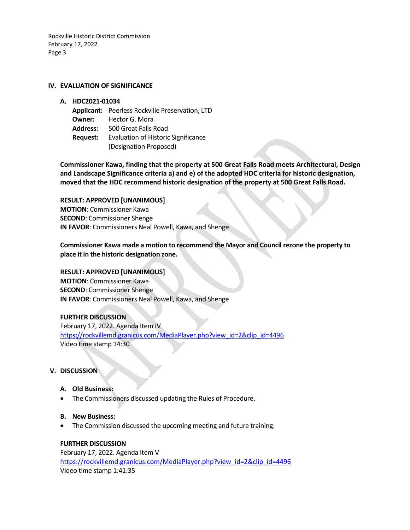#### **IV. EVALUATION OF SIGNIFICANCE**

#### **A. HDC2021-01034**

- **Applicant:** Peerless Rockville Preservation, LTD
- **Owner:** Hector G. Mora
- **Address:** 500 Great Falls Road
- **Request:** Evaluation of Historic Significance (Designation Proposed)

**Commissioner Kawa, finding that the property at 500 Great Falls Road meets Architectural, Design and Landscape Significance criteria a) and e) of the adopted HDC criteria for historic designation, moved that the HDC recommend historic designation of the property at 500 Great Falls Road.** 

**RESULT: APPROVED [UNANIMOUS] MOTION**: Commissioner Kawa **SECOND**: Commissioner Shenge **IN FAVOR**: Commissioners Neal Powell, Kawa, and Shenge

**Commissioner Kawa made a motion to recommend the Mayor and Council rezone the property to place it in the historic designation zone.**

### **RESULT: APPROVED [UNANIMOUS]**

**MOTION**: Commissioner Kawa **SECOND**: Commissioner Shenge **IN FAVOR**: Commissioners Neal Powell, Kawa, and Shenge

### **FURTHER DISCUSSION**

February 17, 2022. Agenda Item IV [https://rockvillemd.granicus.com/MediaPlayer.php?view\\_id=2&clip\\_id=4496](https://rockvillemd.granicus.com/MediaPlayer.php?view_id=2&clip_id=4496) Video time stamp 14:30

### **V. DISCUSSION**

### **A. Old Business:**

• The Commissioners discussed updating the Rules of Procedure.

### **B. New Business:**

• The Commission discussed the upcoming meeting and future training.

### **FURTHER DISCUSSION**

February 17, 2022. Agenda Item V [https://rockvillemd.granicus.com/MediaPlayer.php?view\\_id=2&clip\\_id=4496](https://rockvillemd.granicus.com/MediaPlayer.php?view_id=2&clip_id=4496) Video time stamp 1:41:35